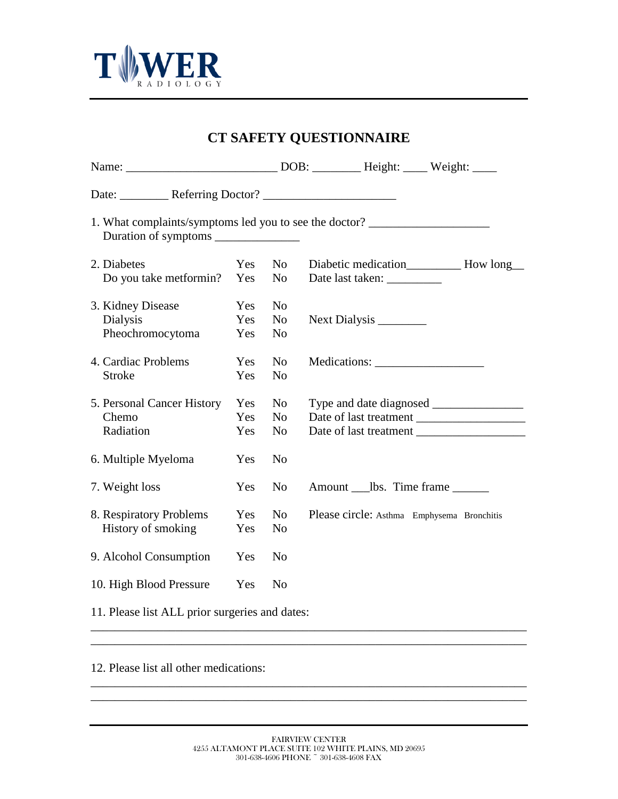

 $\overline{a}$ 

| <b>CT SAFETY QUESTIONNAIRE</b>                 |     |                |                                                                                  |  |  |  |
|------------------------------------------------|-----|----------------|----------------------------------------------------------------------------------|--|--|--|
|                                                |     |                |                                                                                  |  |  |  |
|                                                |     |                |                                                                                  |  |  |  |
|                                                |     |                | 1. What complaints/symptoms led you to see the doctor? _________________________ |  |  |  |
| 2. Diabetes                                    | Yes | N <sub>o</sub> |                                                                                  |  |  |  |
| Do you take metformin?                         | Yes | N <sub>o</sub> | Date last taken: __________                                                      |  |  |  |
| 3. Kidney Disease                              | Yes | N <sub>o</sub> |                                                                                  |  |  |  |
| Dialysis                                       | Yes | N <sub>o</sub> | Next Dialysis                                                                    |  |  |  |
| Pheochromocytoma                               | Yes | N <sub>0</sub> |                                                                                  |  |  |  |
| 4. Cardiac Problems                            | Yes | N <sub>o</sub> |                                                                                  |  |  |  |
| <b>Stroke</b>                                  | Yes | N <sub>o</sub> |                                                                                  |  |  |  |
| 5. Personal Cancer History                     | Yes | N <sub>o</sub> |                                                                                  |  |  |  |
| Chemo                                          | Yes | N <sub>o</sub> | Date of last treatment                                                           |  |  |  |
| Radiation                                      | Yes | N <sub>0</sub> |                                                                                  |  |  |  |
| 6. Multiple Myeloma                            | Yes | N <sub>o</sub> |                                                                                  |  |  |  |
| 7. Weight loss                                 | Yes | N <sub>0</sub> | Amount ____lbs. Time frame _______                                               |  |  |  |
| 8. Respiratory Problems                        | Yes | N <sub>o</sub> | Please circle: Asthma Emphysema Bronchitis                                       |  |  |  |
| History of smoking                             | Yes | N <sub>o</sub> |                                                                                  |  |  |  |
| 9. Alcohol Consumption                         | Yes | N <sub>0</sub> |                                                                                  |  |  |  |
| 10. High Blood Pressure                        | Yes | N <sub>o</sub> |                                                                                  |  |  |  |
| 11. Please list ALL prior surgeries and dates: |     |                |                                                                                  |  |  |  |

12. Please list all other medications:

\_\_\_\_\_\_\_\_\_\_\_\_\_\_\_\_\_\_\_\_\_\_\_\_\_\_\_\_\_\_\_\_\_\_\_\_\_\_\_\_\_\_\_\_\_\_\_\_\_\_\_\_\_\_\_\_\_\_\_\_\_\_\_\_\_\_\_\_\_\_\_\_ \_\_\_\_\_\_\_\_\_\_\_\_\_\_\_\_\_\_\_\_\_\_\_\_\_\_\_\_\_\_\_\_\_\_\_\_\_\_\_\_\_\_\_\_\_\_\_\_\_\_\_\_\_\_\_\_\_\_\_\_\_\_\_\_\_\_\_\_\_\_\_\_

\_\_\_\_\_\_\_\_\_\_\_\_\_\_\_\_\_\_\_\_\_\_\_\_\_\_\_\_\_\_\_\_\_\_\_\_\_\_\_\_\_\_\_\_\_\_\_\_\_\_\_\_\_\_\_\_\_\_\_\_\_\_\_\_\_\_\_\_\_\_\_\_ \_\_\_\_\_\_\_\_\_\_\_\_\_\_\_\_\_\_\_\_\_\_\_\_\_\_\_\_\_\_\_\_\_\_\_\_\_\_\_\_\_\_\_\_\_\_\_\_\_\_\_\_\_\_\_\_\_\_\_\_\_\_\_\_\_\_\_\_\_\_\_\_